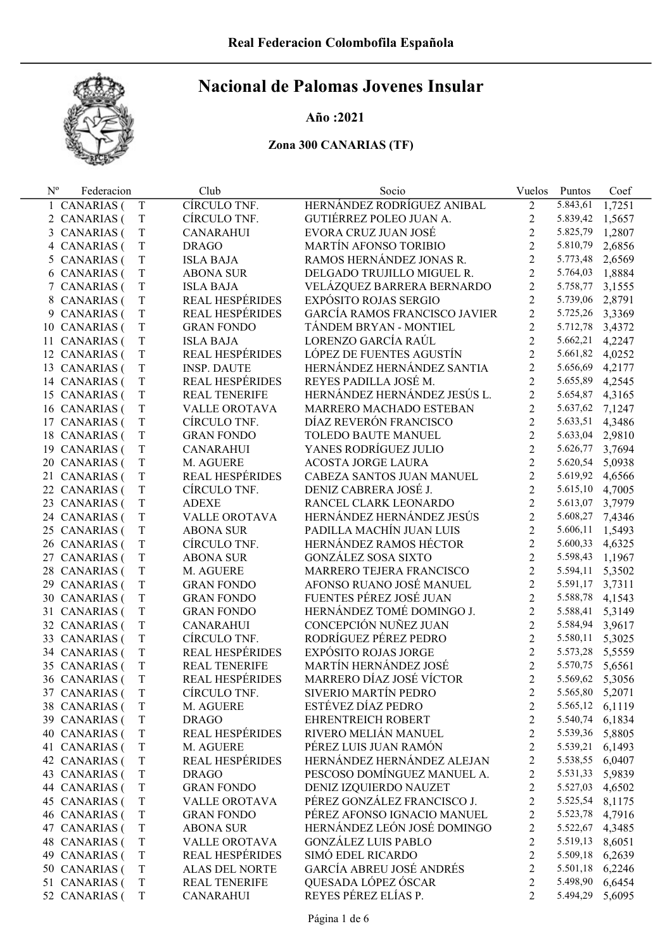

#### Año :2021

| $N^{o}$ | Federacion                     |                  | Club                                   | Socio                                      | Vuelos         | Puntos                      | Coef   |
|---------|--------------------------------|------------------|----------------------------------------|--------------------------------------------|----------------|-----------------------------|--------|
|         | 1 CANARIAS (                   | T                | CÍRCULO TNF.                           | HERNÁNDEZ RODRÍGUEZ ANIBAL                 | $\overline{2}$ | 5.843,61                    | 1,7251 |
|         | 2 CANARIAS (                   | T                | CÍRCULO TNF.                           | GUTIÉRREZ POLEO JUAN A.                    | $\overline{2}$ | 5.839,42                    | 1,5657 |
|         | 3 CANARIAS (                   | T                | <b>CANARAHUI</b>                       | EVORA CRUZ JUAN JOSÉ                       | $\overline{2}$ | 5.825,79                    | 1,2807 |
|         | 4 CANARIAS (                   | T                | <b>DRAGO</b>                           | <b>MARTÍN AFONSO TORIBIO</b>               | $\overline{2}$ | 5.810,79                    | 2,6856 |
|         | 5 CANARIAS (                   | T                | <b>ISLA BAJA</b>                       | RAMOS HERNÁNDEZ JONAS R.                   | $\overline{2}$ | 5.773,48                    | 2,6569 |
|         | 6 CANARIAS (                   | T                | <b>ABONA SUR</b>                       | DELGADO TRUJILLO MIGUEL R.                 | $\overline{2}$ | 5.764,03                    | 1,8884 |
|         | 7 CANARIAS (                   | $\mathbf T$      | <b>ISLA BAJA</b>                       | VELÁZQUEZ BARRERA BERNARDO                 | $\overline{2}$ | 5.758,77                    | 3,1555 |
|         | 8 CANARIAS (                   | $\mathbf T$      | <b>REAL HESPÉRIDES</b>                 | EXPÓSITO ROJAS SERGIO                      | $\overline{2}$ | 5.739,06                    | 2,8791 |
|         | 9 CANARIAS (                   | T                | <b>REAL HESPÉRIDES</b>                 | GARCÍA RAMOS FRANCISCO JAVIER              | $\overline{2}$ | 5.725,26                    | 3,3369 |
|         | 10 CANARIAS (                  | T                | <b>GRAN FONDO</b>                      | TÁNDEM BRYAN - MONTIEL                     | $\overline{2}$ | 5.712,78                    | 3,4372 |
|         | 11 CANARIAS (                  | T                | <b>ISLA BAJA</b>                       | LORENZO GARCÍA RAÚL                        | $\overline{2}$ | 5.662,21                    | 4,2247 |
|         | 12 CANARIAS (                  | $\mathbf T$      | <b>REAL HESPÉRIDES</b>                 | LÓPEZ DE FUENTES AGUSTÍN                   | $\overline{2}$ | 5.661,82                    | 4,0252 |
|         | 13 CANARIAS (                  | $\mathbf T$      | <b>INSP. DAUTE</b>                     | HERNÁNDEZ HERNÁNDEZ SANTIA                 | $\overline{2}$ | 5.656,69                    | 4,2177 |
|         | 14 CANARIAS (                  | $\mathbf T$      | <b>REAL HESPÉRIDES</b>                 | REYES PADILLA JOSÉ M.                      | $\overline{2}$ | 5.655,89                    | 4,2545 |
|         | 15 CANARIAS (                  | T                | <b>REAL TENERIFE</b>                   | HERNÁNDEZ HERNÁNDEZ JESÚS L.               | $\overline{2}$ | 5.654,87                    | 4,3165 |
|         | 16 CANARIAS (                  | T                | <b>VALLE OROTAVA</b>                   | MARRERO MACHADO ESTEBAN                    | $\overline{2}$ | 5.637,62                    | 7,1247 |
|         | 17 CANARIAS (                  | $\mathbf T$      | CÍRCULO TNF.                           | DÍAZ REVERÓN FRANCISCO                     | $\overline{2}$ | 5.633,51                    | 4,3486 |
|         | 18 CANARIAS (                  | $\mathbf T$      | <b>GRAN FONDO</b>                      | TOLEDO BAUTE MANUEL                        | $\overline{2}$ | 5.633,04                    | 2,9810 |
|         | 19 CANARIAS (                  | T                | <b>CANARAHUI</b>                       | YANES RODRÍGUEZ JULIO                      | $\overline{2}$ | 5.626,77                    | 3,7694 |
|         | 20 CANARIAS (                  | T                | M. AGUERE                              | ACOSTA JORGE LAURA                         | $\overline{2}$ | 5.620,54                    | 5,0938 |
|         | 21 CANARIAS (                  | T                | <b>REAL HESPÉRIDES</b>                 | CABEZA SANTOS JUAN MANUEL                  | $\overline{2}$ | 5.619,92                    | 4,6566 |
|         | 22 CANARIAS (                  | $\mathbf T$      | CÍRCULO TNF.                           | DENIZ CABRERA JOSÉ J.                      | $\overline{2}$ | 5.615,10                    | 4,7005 |
|         | 23 CANARIAS (                  | $\rm T$          | <b>ADEXE</b>                           | RANCEL CLARK LEONARDO                      | $\overline{2}$ | 5.613,07                    | 3,7979 |
|         | 24 CANARIAS (                  | $\rm T$          | VALLE OROTAVA                          | HERNÁNDEZ HERNÁNDEZ JESÚS                  | $\overline{2}$ | 5.608,27                    | 7,4346 |
|         | 25 CANARIAS (                  | T                | <b>ABONA SUR</b>                       | PADILLA MACHÍN JUAN LUIS                   | $\overline{2}$ | 5.606,11                    | 1,5493 |
|         |                                |                  | CÍRCULO TNF.                           | HERNÁNDEZ RAMOS HÉCTOR                     | $\overline{2}$ | 5.600,33                    |        |
|         | 26 CANARIAS (                  | T                |                                        | <b>GONZÁLEZ SOSA SIXTO</b>                 | $\overline{2}$ | 5.598,43                    | 4,6325 |
|         | 27 CANARIAS (                  | T<br>$\mathbf T$ | <b>ABONA SUR</b>                       | MARRERO TEJERA FRANCISCO                   | $\overline{2}$ | 5.594,11                    | 1,1967 |
|         | 28 CANARIAS (                  | $\rm T$          | M. AGUERE                              | AFONSO RUANO JOSÉ MANUEL                   | $\overline{2}$ |                             | 5,3502 |
|         | 29 CANARIAS (                  |                  | <b>GRAN FONDO</b>                      | FUENTES PÉREZ JOSÉ JUAN                    | $\overline{2}$ | 5.591,17<br>5.588,78        | 3,7311 |
|         | 30 CANARIAS (                  | T                | <b>GRAN FONDO</b>                      | HERNÁNDEZ TOMÉ DOMINGO J.                  | $\overline{2}$ |                             | 4,1543 |
|         | 31 CANARIAS (                  | T                | <b>GRAN FONDO</b>                      | CONCEPCIÓN NUÑEZ JUAN                      | $\overline{2}$ | 5.588,41<br>5.584,94        | 5,3149 |
|         | 32 CANARIAS (                  | T                | <b>CANARAHUI</b><br>CÍRCULO TNF.       | RODRÍGUEZ PÉREZ PEDRO                      | $\overline{2}$ |                             | 3,9617 |
|         | 33 CANARIAS (                  | T                | <b>REAL HESPÉRIDES</b>                 | <b>EXPÓSITO ROJAS JORGE</b>                | $\overline{2}$ | 5.580,11                    | 5,3025 |
|         | 34 CANARIAS (                  | $\mathbf T$      | <b>REAL TENERIFE</b>                   | MARTÍN HERNÁNDEZ JOSÉ                      | $\overline{2}$ | 5.573,28                    | 5,5559 |
|         | 35 CANARIAS (                  | T                |                                        |                                            | $\overline{2}$ | 5.570,75                    | 5,6561 |
|         | 36 CANARIAS (                  | T                | <b>REAL HESPÉRIDES</b>                 | MARRERO DÍAZ JOSÉ VÍCTOR                   |                | 5.569,62 5,3056             |        |
|         | 37 CANARIAS (                  | T                | CÍRCULO TNF.                           | SIVERIO MARTÍN PEDRO                       | 2              | 5.565,80 5,2071             |        |
|         | 38 CANARIAS (                  | T                | M. AGUERE                              | ESTÉVEZ DÍAZ PEDRO                         | 2              | 5.565,12                    | 6,1119 |
|         | 39 CANARIAS (<br>40 CANARIAS ( | T                | <b>DRAGO</b><br><b>REAL HESPÉRIDES</b> | EHRENTREICH ROBERT<br>RIVERO MELIÁN MANUEL | 2              | 5.540,74                    | 6,1834 |
|         |                                | T                | M. AGUERE                              | PÉREZ LUIS JUAN RAMÓN                      | 2              | 5.539,36 5,8805<br>5.539,21 |        |
|         | 41 CANARIAS (                  | T                | REAL HESPÉRIDES                        | HERNÁNDEZ HERNÁNDEZ ALEJAN                 | 2              |                             | 6,1493 |
|         | 42 CANARIAS (                  | T                |                                        | PESCOSO DOMÍNGUEZ MANUEL A.                | 2              | 5.538,55 6,0407             |        |
|         | 43 CANARIAS (                  | T                | <b>DRAGO</b>                           |                                            | 2              | 5.531,33 5,9839             |        |
|         | 44 CANARIAS (                  | T                | <b>GRAN FONDO</b>                      | DENIZ IZQUIERDO NAUZET                     | 2              | 5.527,03                    | 4,6502 |
|         | 45 CANARIAS (                  | T                | VALLE OROTAVA                          | PÉREZ GONZÁLEZ FRANCISCO J.                | 2              | 5.525,54                    | 8,1175 |
|         | 46 CANARIAS (                  | T                | <b>GRAN FONDO</b>                      | PÉREZ AFONSO IGNACIO MANUEL                | 2              | 5.523,78                    | 4,7916 |
|         | 47 CANARIAS (                  | T                | <b>ABONA SUR</b>                       | HERNÁNDEZ LEÓN JOSÉ DOMINGO                | 2              | 5.522,67                    | 4,3485 |
|         | 48 CANARIAS (                  | T                | <b>VALLE OROTAVA</b>                   | <b>GONZÁLEZ LUIS PABLO</b>                 | 2              | 5.519,13                    | 8,6051 |
|         | 49 CANARIAS (                  | T                | <b>REAL HESPÉRIDES</b>                 | SIMÓ EDEL RICARDO                          | 2              | 5.509,18                    | 6,2639 |
|         | 50 CANARIAS (                  | $\mathbf T$      | <b>ALAS DEL NORTE</b>                  | GARCÍA ABREU JOSÉ ANDRÉS                   | $\overline{2}$ | 5.501,18                    | 6,2246 |
|         | 51 CANARIAS (                  | T                | REAL TENERIFE                          | QUESADA LÓPEZ ÓSCAR                        | 2              | 5.498,90                    | 6,6454 |
|         | 52 CANARIAS (                  | T                | <b>CANARAHUI</b>                       | REYES PÉREZ ELÍAS P.                       | 2              | 5.494,29                    | 5,6095 |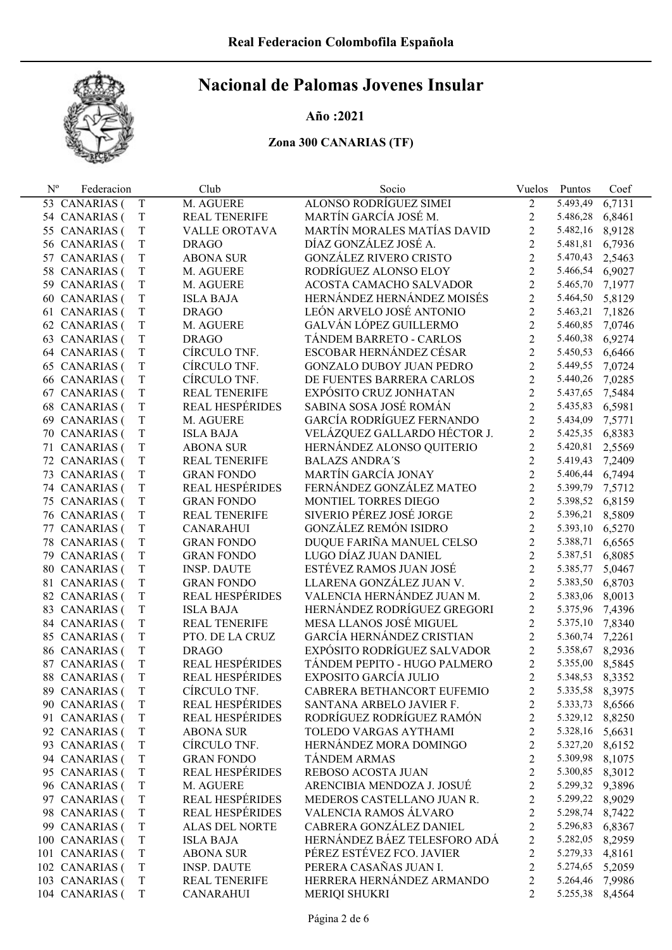

#### Año :2021

| $\mathbf{N}^{\text{o}}$ | Federacion        |             | Club                   | Socio                           | Vuelos         | Puntos          | Coef   |
|-------------------------|-------------------|-------------|------------------------|---------------------------------|----------------|-----------------|--------|
|                         | 53 CANARIAS (     | T           | M. AGUERE              | <b>ALONSO RODRÍGUEZ SIMEI</b>   | $\overline{2}$ | 5.493,49        | 6,7131 |
|                         | 54 CANARIAS (     | $\mathbf T$ | <b>REAL TENERIFE</b>   | MARTÍN GARCÍA JOSÉ M.           | $\sqrt{2}$     | 5.486,28        | 6,8461 |
|                         | 55 CANARIAS (     | $\mathbf T$ | VALLE OROTAVA          | MARTÍN MORALES MATÍAS DAVID     | $\overline{2}$ | 5.482,16        | 8,9128 |
|                         | 56 CANARIAS (     | $\rm T$     | <b>DRAGO</b>           | DÍAZ GONZÁLEZ JOSÉ A.           | $\overline{2}$ | 5.481,81        | 6,7936 |
|                         | 57 CANARIAS (     | $\mathbf T$ | <b>ABONA SUR</b>       | <b>GONZÁLEZ RIVERO CRISTO</b>   | $\overline{2}$ | 5.470,43        | 2,5463 |
|                         | 58 CANARIAS (     | $\rm T$     | M. AGUERE              | RODRÍGUEZ ALONSO ELOY           | $\overline{2}$ | 5.466,54        | 6,9027 |
|                         | 59 CANARIAS (     | $\mathbf T$ | M. AGUERE              | ACOSTA CAMACHO SALVADOR         | $\overline{2}$ | 5.465,70        | 7,1977 |
|                         | 60 CANARIAS (     | $\mathbf T$ | <b>ISLA BAJA</b>       | HERNÁNDEZ HERNÁNDEZ MOISÉS      | $\overline{2}$ | 5.464,50        | 5,8129 |
|                         | 61 CANARIAS (     | $\rm T$     | <b>DRAGO</b>           | LEÓN ARVELO JOSÉ ANTONIO        | $\overline{2}$ | 5.463,21        | 7,1826 |
|                         | 62 CANARIAS (     | $\mathbf T$ | M. AGUERE              | GALVÁN LÓPEZ GUILLERMO          | $\overline{2}$ | 5.460,85        | 7,0746 |
|                         | 63 CANARIAS (     | $\rm T$     | <b>DRAGO</b>           | TÁNDEM BARRETO - CARLOS         | $\overline{2}$ | 5.460,38        | 6,9274 |
|                         | 64 CANARIAS (     | $\mathbf T$ | CÍRCULO TNF.           | ESCOBAR HERNÁNDEZ CÉSAR         | $\overline{2}$ | 5.450,53        | 6,6466 |
|                         | 65 CANARIAS (     | $\rm T$     | CÍRCULO TNF.           | <b>GONZALO DUBOY JUAN PEDRO</b> | $\overline{2}$ | 5.449,55        | 7,0724 |
|                         | 66 CANARIAS (     | $\mathbf T$ | CÍRCULO TNF.           | DE FUENTES BARRERA CARLOS       | $\overline{2}$ | 5.440,26        | 7,0285 |
|                         | 67 CANARIAS (     | $\rm T$     | <b>REAL TENERIFE</b>   | EXPÓSITO CRUZ JONHATAN          | $\overline{2}$ | 5.437,65        | 7,5484 |
|                         | 68 CANARIAS (     | $\mathbf T$ | <b>REAL HESPÉRIDES</b> | SABINA SOSA JOSÉ ROMÁN          | $\overline{2}$ | 5.435,83        | 6,5981 |
|                         | 69 CANARIAS (     | $\rm T$     | M. AGUERE              | GARCÍA RODRÍGUEZ FERNANDO       | $\overline{2}$ | 5.434,09        | 7,5771 |
|                         | 70 CANARIAS (     | $\mathbf T$ | <b>ISLA BAJA</b>       | VELÁZQUEZ GALLARDO HÉCTOR J.    | $\overline{2}$ | 5.425,35        | 6,8383 |
|                         | 71 CANARIAS (     | $\rm T$     | <b>ABONA SUR</b>       | HERNÁNDEZ ALONSO QUITERIO       | $\overline{2}$ | 5.420,81        | 2,5569 |
|                         | 72 CANARIAS (     | $\mathbf T$ | <b>REAL TENERIFE</b>   | <b>BALAZS ANDRA'S</b>           | $\overline{2}$ | 5.419,43        | 7,2409 |
|                         | 73 CANARIAS (     | $\rm T$     | <b>GRAN FONDO</b>      | MARTÍN GARCÍA JONAY             | $\overline{2}$ | 5.406,44        | 6,7494 |
|                         | 74 CANARIAS (     | $\mathbf T$ | <b>REAL HESPÉRIDES</b> | FERNÁNDEZ GONZÁLEZ MATEO        | $\overline{2}$ | 5.399,79        | 7,5712 |
|                         | 75 CANARIAS (     | $\rm T$     | <b>GRAN FONDO</b>      | MONTIEL TORRES DIEGO            | $\overline{2}$ | 5.398,52        | 6,8159 |
|                         | 76 CANARIAS (     | $\mathbf T$ | <b>REAL TENERIFE</b>   | SIVERIO PÉREZ JOSÉ JORGE        | $\overline{2}$ | 5.396,21        | 8,5809 |
|                         | 77 CANARIAS (     | $\rm T$     | <b>CANARAHUI</b>       | <b>GONZÁLEZ REMÓN ISIDRO</b>    | $\overline{2}$ | 5.393,10        | 6,5270 |
|                         | 78 CANARIAS (     | $\mathbf T$ | <b>GRAN FONDO</b>      | DUQUE FARIÑA MANUEL CELSO       | $\overline{2}$ | 5.388,71        | 6,6565 |
|                         | 79 CANARIAS (     | $\mathbf T$ | <b>GRAN FONDO</b>      | LUGO DÍAZ JUAN DANIEL           | $\overline{2}$ | 5.387,51        | 6,8085 |
|                         | 80 CANARIAS (     | $\mathbf T$ | <b>INSP. DAUTE</b>     | ESTÉVEZ RAMOS JUAN JOSÉ         | $\overline{2}$ | 5.385,77        | 5,0467 |
| 81                      | <b>CANARIAS</b> ( | $\mathbf T$ | <b>GRAN FONDO</b>      | LLARENA GONZÁLEZ JUAN V.        | $\overline{2}$ | 5.383,50        | 6,8703 |
|                         | 82 CANARIAS (     | $\mathbf T$ | <b>REAL HESPÉRIDES</b> | VALENCIA HERNÁNDEZ JUAN M.      | $\overline{2}$ | 5.383,06        | 8,0013 |
|                         | 83 CANARIAS (     | $\mathbf T$ | <b>ISLA BAJA</b>       | HERNÁNDEZ RODRÍGUEZ GREGORI     | $\overline{2}$ | 5.375,96        | 7,4396 |
|                         | 84 CANARIAS (     | $\rm T$     | <b>REAL TENERIFE</b>   | MESA LLANOS JOSÉ MIGUEL         | $\overline{2}$ | 5.375,10        | 7,8340 |
|                         | 85 CANARIAS (     | $\mathbf T$ | PTO. DE LA CRUZ        | GARCÍA HERNÁNDEZ CRISTIAN       | $\overline{2}$ | 5.360,74        | 7,2261 |
|                         | 86 CANARIAS (     | $\rm T$     | <b>DRAGO</b>           | EXPÓSITO RODRÍGUEZ SALVADOR     | $\overline{2}$ | 5.358,67        | 8,2936 |
| 87                      | <b>CANARIAS</b> ( | $\rm T$     | REAL HESPÉRIDES        | TÁNDEM PEPITO - HUGO PALMERO    | $\overline{2}$ | 5.355,00        | 8,5845 |
|                         | 88 CANARIAS (     | $\rm T$     | REAL HESPÉRIDES        | EXPOSITO GARCÍA JULIO           | $\overline{2}$ | 5.348,53        | 8,3352 |
|                         | 89 CANARIAS (     | T           | CÍRCULO TNF.           | CABRERA BETHANCORT EUFEMIO      | 2              | 5.335,58 8,3975 |        |
|                         | 90 CANARIAS (     | T           | <b>REAL HESPÉRIDES</b> | SANTANA ARBELO JAVIER F.        | 2              | 5.333,73        | 8,6566 |
|                         | 91 CANARIAS (     | $\mathbf T$ | <b>REAL HESPÉRIDES</b> | RODRÍGUEZ RODRÍGUEZ RAMÓN       | $\overline{c}$ | 5.329,12        | 8,8250 |
|                         | 92 CANARIAS (     | $\mathbf T$ | <b>ABONA SUR</b>       | TOLEDO VARGAS AYTHAMI           | $\overline{c}$ | 5.328,16 5,6631 |        |
|                         | 93 CANARIAS (     | $\mathbf T$ | CÍRCULO TNF.           | HERNÁNDEZ MORA DOMINGO          | $\overline{c}$ | 5.327,20 8,6152 |        |
|                         | 94 CANARIAS (     | $\mathbf T$ | <b>GRAN FONDO</b>      | <b>TÁNDEM ARMAS</b>             | $\overline{c}$ | 5.309,98        | 8,1075 |
|                         | 95 CANARIAS (     | $\mathbf T$ | <b>REAL HESPÉRIDES</b> | REBOSO ACOSTA JUAN              | $\overline{c}$ | 5.300,85 8,3012 |        |
|                         | 96 CANARIAS (     | $\mathbf T$ | M. AGUERE              | ARENCIBIA MENDOZA J. JOSUÉ      | $\overline{c}$ | 5.299,32        | 9,3896 |
|                         | 97 CANARIAS (     | $\mathbf T$ | <b>REAL HESPÉRIDES</b> | MEDEROS CASTELLANO JUAN R.      | $\overline{c}$ | 5.299,22        | 8,9029 |
|                         | 98 CANARIAS (     | $\mathbf T$ | <b>REAL HESPÉRIDES</b> | VALENCIA RAMOS ÁLVARO           | $\overline{c}$ | 5.298,74        | 8,7422 |
|                         | 99 CANARIAS (     | $\mathbf T$ | <b>ALAS DEL NORTE</b>  | CABRERA GONZÁLEZ DANIEL         | $\overline{c}$ | 5.296,83        | 6,8367 |
|                         | 100 CANARIAS (    | $\mathbf T$ | <b>ISLA BAJA</b>       | HERNÁNDEZ BÁEZ TELESFORO ADÁ    | $\overline{c}$ | 5.282,05        | 8,2959 |
|                         | 101 CANARIAS (    | $\mathbf T$ | <b>ABONA SUR</b>       | PÉREZ ESTÉVEZ FCO. JAVIER       | $\overline{2}$ | 5.279,33        | 4,8161 |
|                         | 102 CANARIAS (    | $\mathbf T$ | <b>INSP. DAUTE</b>     | PERERA CASAÑAS JUAN I.          | $\overline{c}$ | 5.274,65        | 5,2059 |
|                         | 103 CANARIAS (    | $\mathbf T$ | <b>REAL TENERIFE</b>   | HERRERA HERNÁNDEZ ARMANDO       | $\overline{2}$ | 5.264,46        | 7,9986 |
|                         | 104 CANARIAS (    | T           | <b>CANARAHUI</b>       | MERIQI SHUKRI                   | $\overline{2}$ | 5.255,38 8,4564 |        |
|                         |                   |             |                        |                                 |                |                 |        |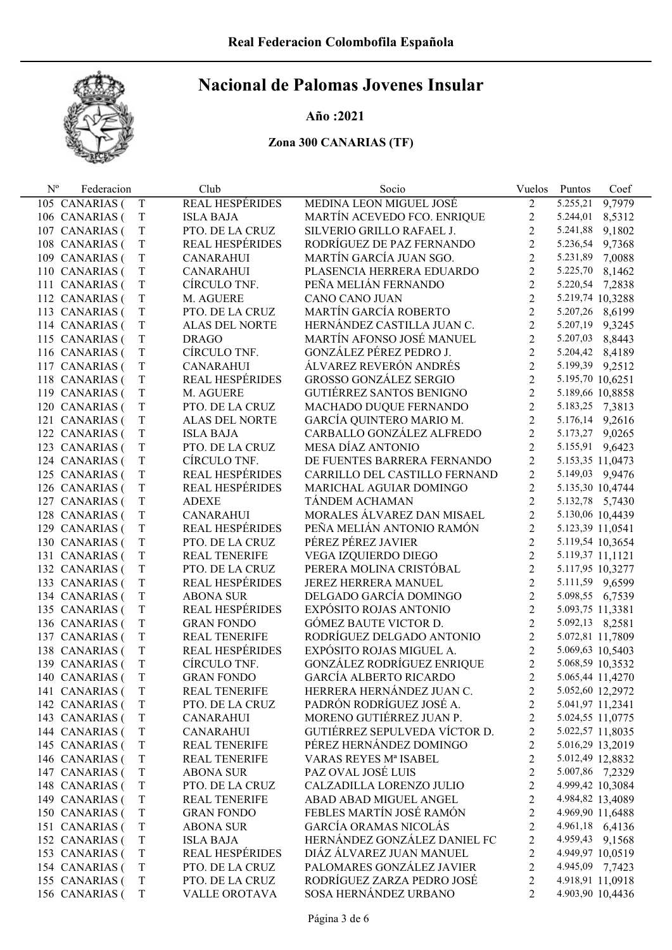

#### Año :2021

| $N^{o}$ | Federacion     |             | Club                   | Socio                         | Vuelos         | Puntos           | Coef   |
|---------|----------------|-------------|------------------------|-------------------------------|----------------|------------------|--------|
|         | 105 CANARIAS ( | T           | <b>REAL HESPÉRIDES</b> | MEDINA LEON MIGUEL JOSÉ       | 2              | 5.255,21         | 9,7979 |
|         | 106 CANARIAS ( | $\mathbf T$ | <b>ISLA BAJA</b>       | MARTÍN ACEVEDO FCO. ENRIQUE   | $\overline{c}$ | 5.244,01         | 8,5312 |
|         | 107 CANARIAS ( | T           | PTO. DE LA CRUZ        | SILVERIO GRILLO RAFAEL J.     | $\overline{2}$ | 5.241,88         | 9,1802 |
|         | 108 CANARIAS ( | T           | REAL HESPÉRIDES        | RODRÍGUEZ DE PAZ FERNANDO     | $\overline{c}$ | 5.236,54         | 9,7368 |
|         | 109 CANARIAS ( | T           | CANARAHUI              | MARTÍN GARCÍA JUAN SGO.       | $\overline{2}$ | 5.231,89         | 7,0088 |
|         | 110 CANARIAS ( | T           | <b>CANARAHUI</b>       | PLASENCIA HERRERA EDUARDO     | $\overline{2}$ | 5.225,70         | 8,1462 |
|         | 111 CANARIAS ( | T           | CÍRCULO TNF.           | PEÑA MELIÁN FERNANDO          | $\overline{2}$ | 5.220,54         | 7,2838 |
|         | 112 CANARIAS ( | T           | M. AGUERE              | <b>CANO CANO JUAN</b>         | $\overline{2}$ | 5.219,74 10,3288 |        |
|         | 113 CANARIAS ( | T           | PTO. DE LA CRUZ        | <b>MARTÍN GARCÍA ROBERTO</b>  | $\overline{c}$ | 5.207,26 8,6199  |        |
|         | 114 CANARIAS ( | T           | ALAS DEL NORTE         | HERNÁNDEZ CASTILLA JUAN C.    | $\overline{2}$ | 5.207,19 9,3245  |        |
|         | 115 CANARIAS ( | T           | <b>DRAGO</b>           | MARTÍN AFONSO JOSÉ MANUEL     | $\overline{2}$ | 5.207,03         | 8,8443 |
|         | 116 CANARIAS ( | T           | CÍRCULO TNF.           | GONZÁLEZ PÉREZ PEDRO J.       | $\overline{2}$ | 5.204,42 8,4189  |        |
|         | 117 CANARIAS ( | T           | <b>CANARAHUI</b>       | ÁLVAREZ REVERÓN ANDRÉS        | $\overline{2}$ | 5.199,39 9,2512  |        |
|         | 118 CANARIAS ( | $\rm T$     | REAL HESPÉRIDES        | <b>GROSSO GONZÁLEZ SERGIO</b> | $\overline{2}$ | 5.195,70 10,6251 |        |
|         | 119 CANARIAS ( | T           | M. AGUERE              | GUTIÉRREZ SANTOS BENIGNO      | $\overline{2}$ | 5.189,66 10,8858 |        |
|         | 120 CANARIAS ( | T           | PTO. DE LA CRUZ        | MACHADO DUQUE FERNANDO        | $\overline{2}$ | 5.183,25 7,3813  |        |
|         | 121 CANARIAS ( | T           | ALAS DEL NORTE         | GARCÍA QUINTERO MARIO M.      | $\overline{c}$ | 5.176,14 9,2616  |        |
|         | 122 CANARIAS ( | T           | <b>ISLA BAJA</b>       | CARBALLO GONZÁLEZ ALFREDO     | $\overline{c}$ | 5.173,27 9,0265  |        |
|         | 123 CANARIAS ( | T           | PTO. DE LA CRUZ        | MESA DÍAZ ANTONIO             | $\overline{2}$ | 5.155,91 9,6423  |        |
|         | 124 CANARIAS ( | T           | CÍRCULO TNF.           | DE FUENTES BARRERA FERNANDO   | $\overline{c}$ | 5.153,35 11,0473 |        |
|         | 125 CANARIAS ( | $\rm T$     | REAL HESPÉRIDES        | CARRILLO DEL CASTILLO FERNAND | $\overline{c}$ | 5.149,03 9,9476  |        |
|         | 126 CANARIAS ( | $\rm T$     | <b>REAL HESPÉRIDES</b> | MARICHAL AGUIAR DOMINGO       | $\overline{c}$ | 5.135,30 10,4744 |        |
|         | 127 CANARIAS ( | T           | <b>ADEXE</b>           | TÁNDEM ACHAMAN                | $\overline{2}$ | 5.132,78 5,7430  |        |
|         | 128 CANARIAS ( | T           | <b>CANARAHUI</b>       | MORALES ÁLVAREZ DAN MISAEL    | $\overline{2}$ | 5.130,06 10,4439 |        |
|         | 129 CANARIAS ( | T           | REAL HESPÉRIDES        | PEÑA MELIÁN ANTONIO RAMÓN     | $\overline{c}$ | 5.123,39 11,0541 |        |
|         | 130 CANARIAS ( | $\rm T$     | PTO. DE LA CRUZ        | PÉREZ PÉREZ JAVIER            | $\overline{2}$ | 5.119,54 10,3654 |        |
|         | 131 CANARIAS ( | T           | <b>REAL TENERIFE</b>   | VEGA IZQUIERDO DIEGO          | $\overline{2}$ | 5.119,37 11,1121 |        |
|         | 132 CANARIAS ( | T           | PTO. DE LA CRUZ        | PERERA MOLINA CRISTÓBAL       | $\overline{2}$ | 5.117,95 10,3277 |        |
|         | 133 CANARIAS ( | T           | REAL HESPÉRIDES        | <b>JEREZ HERRERA MANUEL</b>   | $\overline{2}$ | 5.111,59 9,6599  |        |
|         | 134 CANARIAS ( | $\rm T$     | <b>ABONA SUR</b>       | DELGADO GARCÍA DOMINGO        | $\overline{c}$ | 5.098,55 6,7539  |        |
|         | 135 CANARIAS ( | $\rm T$     | REAL HESPÉRIDES        | EXPÓSITO ROJAS ANTONIO        | $\overline{c}$ | 5.093,75 11,3381 |        |
|         | 136 CANARIAS ( | T           | <b>GRAN FONDO</b>      | <b>GÓMEZ BAUTE VICTOR D.</b>  | $\overline{c}$ | 5.092,13 8,2581  |        |
|         | 137 CANARIAS ( | T           | REAL TENERIFE          | RODRÍGUEZ DELGADO ANTONIO     | $\overline{c}$ | 5.072,81 11,7809 |        |
|         | 138 CANARIAS ( | T           | REAL HESPÉRIDES        | EXPÓSITO ROJAS MIGUEL A.      | $\overline{c}$ | 5.069,63 10,5403 |        |
|         | 139 CANARIAS ( | T           | CÍRCULO TNF.           | GONZÁLEZ RODRÍGUEZ ENRIQUE    | $\overline{c}$ | 5.068,59 10,3532 |        |
|         | 140 CANARIAS ( | T           | <b>GRAN FONDO</b>      | <b>GARCÍA ALBERTO RICARDO</b> | $\overline{2}$ | 5.065,44 11,4270 |        |
|         | 141 CANARIAS ( | T           | <b>REAL TENERIFE</b>   | HERRERA HERNÁNDEZ JUAN C.     | 2              | 5.052,60 12,2972 |        |
|         | 142 CANARIAS ( | T           | PTO. DE LA CRUZ        | PADRÓN RODRÍGUEZ JOSÉ A.      | 2              | 5.041,97 11,2341 |        |
|         | 143 CANARIAS ( | $\mathbf T$ | <b>CANARAHUI</b>       | MORENO GUTIÉRREZ JUAN P.      | $\overline{c}$ | 5.024,55 11,0775 |        |
|         | 144 CANARIAS ( | T           | <b>CANARAHUI</b>       | GUTIÉRREZ SEPULVEDA VÍCTOR D. | $\overline{c}$ | 5.022,57 11,8035 |        |
|         | 145 CANARIAS ( | T           | <b>REAL TENERIFE</b>   | PÉREZ HERNÁNDEZ DOMINGO       | $\overline{c}$ | 5.016,29 13,2019 |        |
|         | 146 CANARIAS ( | T           | <b>REAL TENERIFE</b>   | VARAS REYES Mª ISABEL         | $\overline{c}$ | 5.012,49 12,8832 |        |
|         | 147 CANARIAS ( | T           | <b>ABONA SUR</b>       | PAZ OVAL JOSÉ LUIS            | 2              | 5.007,86 7,2329  |        |
|         | 148 CANARIAS ( | T           | PTO. DE LA CRUZ        | CALZADILLA LORENZO JULIO      | $\overline{c}$ | 4.999,42 10,3084 |        |
|         | 149 CANARIAS ( | T           | <b>REAL TENERIFE</b>   | ABAD ABAD MIGUEL ANGEL        | $\overline{c}$ | 4.984,82 13,4089 |        |
|         | 150 CANARIAS ( | T           | <b>GRAN FONDO</b>      | FEBLES MARTÍN JOSÉ RAMÓN      | $\overline{c}$ | 4.969,90 11,6488 |        |
|         | 151 CANARIAS ( | T           | <b>ABONA SUR</b>       | <b>GARCÍA ORAMAS NICOLÁS</b>  | $\overline{c}$ | 4.961,18 6,4136  |        |
|         | 152 CANARIAS ( | T           | <b>ISLA BAJA</b>       | HERNÁNDEZ GONZÁLEZ DANIEL FC  | $\overline{c}$ | 4.959,43 9,1568  |        |
|         | 153 CANARIAS ( | T           | REAL HESPÉRIDES        | DIÁZ ÁLVAREZ JUAN MANUEL      | $\overline{c}$ | 4.949,97 10,0519 |        |
|         | 154 CANARIAS ( | T           | PTO. DE LA CRUZ        | PALOMARES GONZÁLEZ JAVIER     | $\overline{c}$ | 4.945,09 7,7423  |        |
|         | 155 CANARIAS ( | T           | PTO. DE LA CRUZ        | RODRÍGUEZ ZARZA PEDRO JOSÉ    | $\overline{c}$ | 4.918,91 11,0918 |        |
|         | 156 CANARIAS ( | $\mathbf T$ | VALLE OROTAVA          | SOSA HERNÁNDEZ URBANO         | $\overline{2}$ | 4.903,90 10,4436 |        |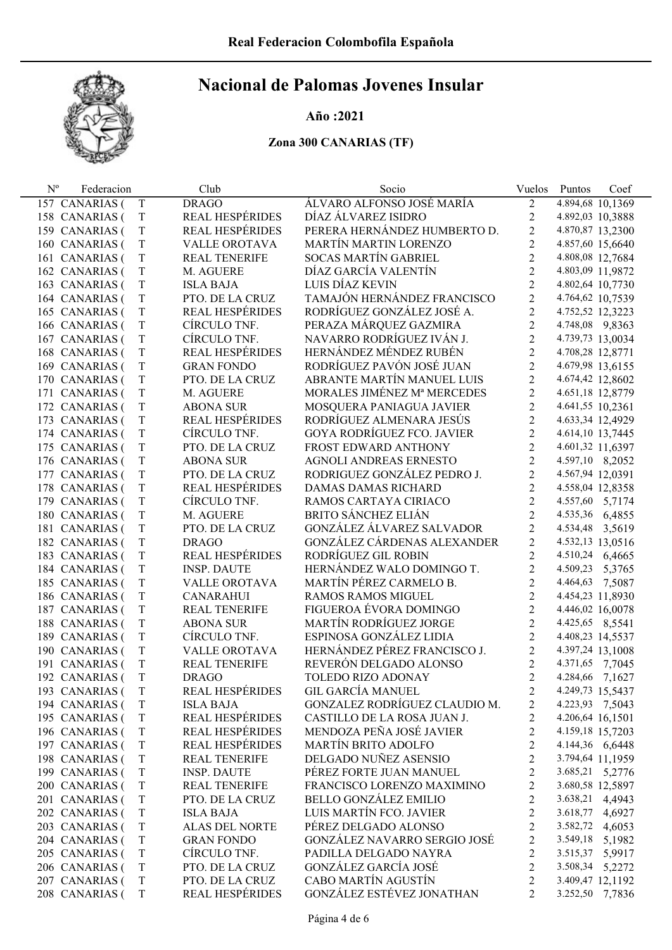

#### Año :2021

| $N^{\rm o}$ | Federacion        |             | Club                   | Socio                             | Vuelos                  | Puntos<br>Coef   |
|-------------|-------------------|-------------|------------------------|-----------------------------------|-------------------------|------------------|
|             | 157 CANARIAS (    | T           | <b>DRAGO</b>           | ÁLVARO ALFONSO JOSÉ MARÍA         | $\overline{2}$          | 4.894,68 10,1369 |
|             | 158 CANARIAS (    | $\mathbf T$ | <b>REAL HESPÉRIDES</b> | DÍAZ ÁLVAREZ ISIDRO               | 2                       | 4.892,03 10,3888 |
|             | 159 CANARIAS (    | T           | <b>REAL HESPÉRIDES</b> | PERERA HERNÁNDEZ HUMBERTO D.      | $\overline{c}$          | 4.870,87 13,2300 |
|             | 160 CANARIAS (    | T           | VALLE OROTAVA          | <b>MARTÍN MARTIN LORENZO</b>      | $\overline{2}$          | 4.857,60 15,6640 |
|             | 161 CANARIAS (    | T           | <b>REAL TENERIFE</b>   | <b>SOCAS MARTÍN GABRIEL</b>       | $\overline{2}$          | 4.808,08 12,7684 |
|             | 162 CANARIAS (    | T           | M. AGUERE              | DÍAZ GARCÍA VALENTÍN              | $\overline{c}$          | 4.803,09 11,9872 |
|             | 163 CANARIAS (    | T           | <b>ISLA BAJA</b>       | LUIS DÍAZ KEVIN                   | $\overline{2}$          | 4.802,64 10,7730 |
|             | 164 CANARIAS (    | $\mathbf T$ | PTO. DE LA CRUZ        | TAMAJÓN HERNÁNDEZ FRANCISCO       | $\overline{2}$          | 4.764,62 10,7539 |
|             | 165 CANARIAS (    | T           | REAL HESPÉRIDES        | RODRÍGUEZ GONZÁLEZ JOSÉ A.        | $\overline{2}$          | 4.752,52 12,3223 |
|             | 166 CANARIAS (    | $\mathbf T$ | CÍRCULO TNF.           | PERAZA MÁRQUEZ GAZMIRA            | $\overline{2}$          | 4.748,08 9,8363  |
|             | 167 CANARIAS (    | $\mathbf T$ | CÍRCULO TNF.           | NAVARRO RODRÍGUEZ IVÁN J.         | $\overline{c}$          | 4.739,73 13,0034 |
| 168         | CANARIAS (        | T           | <b>REAL HESPÉRIDES</b> | HERNÁNDEZ MÉNDEZ RUBÉN            | $\overline{2}$          | 4.708,28 12,8771 |
|             | 169 CANARIAS (    | T           | <b>GRAN FONDO</b>      | RODRÍGUEZ PAVÓN JOSÉ JUAN         | $\overline{2}$          | 4.679,98 13,6155 |
|             | 170 CANARIAS (    | $\mathbf T$ | PTO. DE LA CRUZ        | ABRANTE MARTÍN MANUEL LUIS        | $\overline{c}$          | 4.674,42 12,8602 |
| 171         | <b>CANARIAS</b> ( | T           | M. AGUERE              | MORALES JIMÉNEZ Mª MERCEDES       | $\overline{2}$          | 4.651,18 12,8779 |
| 172         | CANARIAS (        | T           | <b>ABONA SUR</b>       | MOSQUERA PANIAGUA JAVIER          | $\overline{c}$          | 4.641,55 10,2361 |
|             | 173 CANARIAS (    | $\mathbf T$ | <b>REAL HESPÉRIDES</b> | RODRÍGUEZ ALMENARA JESÚS          | $\overline{c}$          | 4.633,34 12,4929 |
|             | 174 CANARIAS (    | T           | CÍRCULO TNF.           | <b>GOYA RODRÍGUEZ FCO. JAVIER</b> | $\overline{2}$          | 4.614,10 13,7445 |
|             | 175 CANARIAS (    | T           | PTO. DE LA CRUZ        | FROST EDWARD ANTHONY              | $\overline{2}$          | 4.601,32 11,6397 |
|             | 176 CANARIAS (    | $\mathbf T$ | <b>ABONA SUR</b>       | AGNOLI ANDREAS ERNESTO            | $\overline{c}$          | 4.597,10 8,2052  |
|             | 177 CANARIAS (    | T           | PTO. DE LA CRUZ        | RODRIGUEZ GONZÁLEZ PEDRO J.       | $\overline{2}$          | 4.567,94 12,0391 |
| 178         | <b>CANARIAS</b> ( | $\mathbf T$ | <b>REAL HESPÉRIDES</b> | DAMAS DAMAS RICHARD               | $\overline{c}$          | 4.558,04 12,8358 |
| 179         | CANARIAS (        | $\mathbf T$ | CÍRCULO TNF.           | RAMOS CARTAYA CIRIACO             | $\overline{2}$          | 4.557,60 5,7174  |
|             | 180 CANARIAS (    | T           | M. AGUERE              | <b>BRITO SÁNCHEZ ELIÁN</b>        | $\overline{2}$          | 4.535,36 6,4855  |
| 181         | CANARIAS (        | T           | PTO. DE LA CRUZ        | GONZÁLEZ ÁLVAREZ SALVADOR         | $\overline{2}$          | 4.534,48 3,5619  |
|             | 182 CANARIAS (    | T           | <b>DRAGO</b>           | GONZÁLEZ CÁRDENAS ALEXANDER       | $\overline{2}$          | 4.532,13 13,0516 |
|             | 183 CANARIAS (    | T           | REAL HESPÉRIDES        | RODRÍGUEZ GIL ROBIN               | $\overline{2}$          | 4.510,24 6,4665  |
|             | 184 CANARIAS (    | T           | <b>INSP. DAUTE</b>     | HERNÁNDEZ WALO DOMINGO T.         | $\overline{c}$          | 4.509,23 5,3765  |
|             | 185 CANARIAS (    | T           | VALLE OROTAVA          | MARTÍN PÉREZ CARMELO B.           | $\overline{c}$          | 4.464,63 7,5087  |
|             | 186 CANARIAS (    | $\mathbf T$ | <b>CANARAHUI</b>       | <b>RAMOS RAMOS MIGUEL</b>         | $\overline{2}$          | 4.454,23 11,8930 |
|             | 187 CANARIAS (    | T           | <b>REAL TENERIFE</b>   | FIGUEROA ÉVORA DOMINGO            | $\overline{c}$          | 4.446,02 16,0078 |
|             | 188 CANARIAS (    | $\mathbf T$ | <b>ABONA SUR</b>       | <b>MARTÍN RODRÍGUEZ JORGE</b>     | $\overline{c}$          | 4.425,65 8,5541  |
|             | 189 CANARIAS (    | $\mathbf T$ | CÍRCULO TNF.           | ESPINOSA GONZÁLEZ LIDIA           | $\overline{2}$          | 4.408,23 14,5537 |
|             | 190 CANARIAS (    | $\mathbf T$ | VALLE OROTAVA          | HERNÁNDEZ PÉREZ FRANCISCO J.      | $\overline{2}$          | 4.397,24 13,1008 |
| 191         | <b>CANARIAS</b> ( | T           | <b>REAL TENERIFE</b>   | REVERÓN DELGADO ALONSO            | $\overline{c}$          | 4.371,65 7,7045  |
|             | 192 CANARIAS (    | T           | <b>DRAGO</b>           | TOLEDO RIZO ADONAY                | $\overline{2}$          | 4.284,66 7,1627  |
|             | 193 CANARIAS (    | Τ           | REAL HESPÉRIDES        | GIL GARCÍA MANUEL                 | 2                       | 4.249,73 15,5437 |
|             | 194 CANARIAS (    | T           | <b>ISLA BAJA</b>       | GONZALEZ RODRÍGUEZ CLAUDIO M.     | 2                       | 4.223,93 7,5043  |
|             | 195 CANARIAS (    | $\mathbf T$ | REAL HESPÉRIDES        | CASTILLO DE LA ROSA JUAN J.       | $\overline{c}$          | 4.206,64 16,1501 |
|             | 196 CANARIAS (    | $\mathbf T$ | <b>REAL HESPÉRIDES</b> | MENDOZA PEÑA JOSÉ JAVIER          | $\overline{c}$          | 4.159,18 15,7203 |
|             | 197 CANARIAS (    | $\mathbf T$ | <b>REAL HESPÉRIDES</b> | <b>MARTÍN BRITO ADOLFO</b>        | $\overline{c}$          | 4.144,36 6,6448  |
|             | 198 CANARIAS (    | $\mathbf T$ | <b>REAL TENERIFE</b>   | DELGADO NUÑEZ ASENSIO             | $\overline{c}$          | 3.794,64 11,1959 |
|             | 199 CANARIAS (    | T           | <b>INSP. DAUTE</b>     | PÉREZ FORTE JUAN MANUEL           | $\overline{c}$          | 3.685,21 5,2776  |
|             | 200 CANARIAS (    | $\mathbf T$ | <b>REAL TENERIFE</b>   | FRANCISCO LORENZO MAXIMINO        | $\overline{\mathbf{c}}$ | 3.680,58 12,5897 |
|             | 201 CANARIAS (    | $\mathbf T$ | PTO. DE LA CRUZ        | <b>BELLO GONZÁLEZ EMILIO</b>      | $\overline{c}$          | 3.638,21 4,4943  |
|             | 202 CANARIAS (    | $\mathbf T$ | <b>ISLA BAJA</b>       | LUIS MARTÍN FCO. JAVIER           | $\overline{c}$          | 3.618,77 4,6927  |
|             | 203 CANARIAS (    | $\mathbf T$ | ALAS DEL NORTE         | PÉREZ DELGADO ALONSO              | $\overline{c}$          | 3.582,72 4,6053  |
|             | 204 CANARIAS (    | $\mathbf T$ | <b>GRAN FONDO</b>      | GONZÁLEZ NAVARRO SERGIO JOSÉ      | $\overline{\mathbf{c}}$ | 3.549,18 5,1982  |
|             | 205 CANARIAS (    | $\mathbf T$ | CÍRCULO TNF.           | PADILLA DELGADO NAYRA             | $\overline{c}$          | 3.515,37 5,9917  |
|             | 206 CANARIAS (    | $\mathbf T$ | PTO. DE LA CRUZ        | GONZÁLEZ GARCÍA JOSÉ              | $\overline{c}$          | 3.508,34 5,2272  |
|             | 207 CANARIAS (    | $\mathbf T$ | PTO. DE LA CRUZ        | CABO MARTÍN AGUSTÍN               | 2                       | 3.409,47 12,1192 |
|             | 208 CANARIAS (    | T           | <b>REAL HESPÉRIDES</b> | GONZÁLEZ ESTÉVEZ JONATHAN         | 2                       | 3.252,50 7,7836  |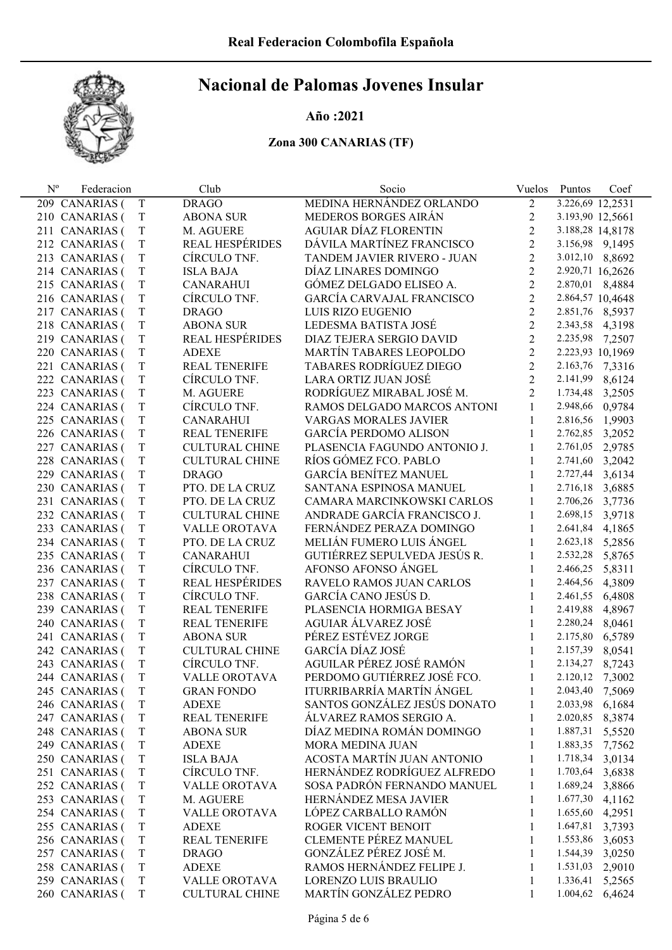

#### Año :2021

| $\rm N^o$ | Federacion                       |                  | Club                             | Socio                            | Vuelos         | Puntos                      | Coef   |
|-----------|----------------------------------|------------------|----------------------------------|----------------------------------|----------------|-----------------------------|--------|
|           | 209 CANARIAS (                   | T                | <b>DRAGO</b>                     | MEDINA HERNÁNDEZ ORLANDO         | 2              | 3.226,69 12,2531            |        |
|           | 210 CANARIAS (                   | T                | <b>ABONA SUR</b>                 | MEDEROS BORGES AIRÁN             | $\overline{2}$ | 3.193,90 12,5661            |        |
|           | 211 CANARIAS (                   | $\rm T$          | M. AGUERE                        | <b>AGUIAR DÍAZ FLORENTIN</b>     | $\overline{2}$ | 3.188,28 14,8178            |        |
|           | 212 CANARIAS (                   | $\rm T$          | <b>REAL HESPÉRIDES</b>           | DÁVILA MARTÍNEZ FRANCISCO        | $\overline{2}$ | 3.156,98 9,1495             |        |
|           | 213 CANARIAS (                   | $\rm T$          | CÍRCULO TNF.                     | TANDEM JAVIER RIVERO - JUAN      | $\overline{2}$ | 3.012,10 8,8692             |        |
|           | 214 CANARIAS (                   | T                | <b>ISLA BAJA</b>                 | DÍAZ LINARES DOMINGO             | $\overline{2}$ | 2.920,71 16,2626            |        |
|           | 215 CANARIAS (                   | $\rm T$          | <b>CANARAHUI</b>                 | GÓMEZ DELGADO ELISEO A.          | $\overline{2}$ | 2.870,01 8,4884             |        |
|           | 216 CANARIAS (                   | $\rm T$          | CÍRCULO TNF.                     | <b>GARCÍA CARVAJAL FRANCISCO</b> | $\overline{2}$ | 2.864,57 10,4648            |        |
|           | 217 CANARIAS (                   | $\rm T$          | <b>DRAGO</b>                     | LUIS RIZO EUGENIO                | $\overline{2}$ | 2.851,76 8,5937             |        |
|           | 218 CANARIAS (                   | $\rm T$          | <b>ABONA SUR</b>                 | LEDESMA BATISTA JOSÉ             | $\overline{2}$ | 2.343,58 4,3198             |        |
|           | 219 CANARIAS (                   | $\rm T$          | <b>REAL HESPÉRIDES</b>           | DIAZ TEJERA SERGIO DAVID         | $\overline{2}$ | 2.235,98 7,2507             |        |
|           | 220 CANARIAS (                   | $\rm T$          | <b>ADEXE</b>                     | MARTÍN TABARES LEOPOLDO          | $\overline{2}$ | 2.223,93 10,1969            |        |
|           | 221 CANARIAS (                   | $\rm T$          | <b>REAL TENERIFE</b>             | TABARES RODRÍGUEZ DIEGO          | $\overline{2}$ | 2.163,76                    | 7,3316 |
|           | 222 CANARIAS (                   | $\rm T$          | CÍRCULO TNF.                     | LARA ORTIZ JUAN JOSÉ             | $\overline{2}$ | 2.141,99                    | 8,6124 |
|           | 223 CANARIAS (                   | $\rm T$          | M. AGUERE                        | RODRÍGUEZ MIRABAL JOSÉ M.        | $\overline{2}$ | 1.734,48                    | 3,2505 |
|           | 224 CANARIAS (                   | $\rm T$          | CÍRCULO TNF.                     | RAMOS DELGADO MARCOS ANTONI      | $\mathbf{1}$   | 2.948,66                    | 0,9784 |
|           | 225 CANARIAS (                   | $\rm T$          | <b>CANARAHUI</b>                 | <b>VARGAS MORALES JAVIER</b>     | 1              | 2.816,56                    | 1,9903 |
|           | 226 CANARIAS (                   | $\rm T$          | <b>REAL TENERIFE</b>             | <b>GARCÍA PERDOMO ALISON</b>     | 1              | 2.762,85                    | 3,2052 |
|           | 227 CANARIAS (                   | $\rm T$          | <b>CULTURAL CHINE</b>            | PLASENCIA FAGUNDO ANTONIO J.     | 1              | 2.761,05                    | 2,9785 |
|           | 228 CANARIAS (                   | $\rm T$          | <b>CULTURAL CHINE</b>            | RÍOS GÓMEZ FCO. PABLO            | 1              | 2.741,60                    | 3,2042 |
|           | 229 CANARIAS (                   | $\rm T$          | <b>DRAGO</b>                     | <b>GARCÍA BENÍTEZ MANUEL</b>     | 1              | 2.727,44                    | 3,6134 |
|           | 230 CANARIAS (                   | $\rm T$          | PTO. DE LA CRUZ                  | SANTANA ESPINOSA MANUEL          | 1              | 2.716,18                    | 3,6885 |
|           | 231 CANARIAS (                   | $\rm T$          | PTO. DE LA CRUZ                  | CAMARA MARCINKOWSKI CARLOS       | 1              | 2.706,26                    | 3,7736 |
|           | 232 CANARIAS (                   | $\rm T$          | <b>CULTURAL CHINE</b>            | ANDRADE GARCÍA FRANCISCO J.      | 1              | 2.698,15                    | 3,9718 |
|           | 233 CANARIAS (                   | $\rm T$          | <b>VALLE OROTAVA</b>             | FERNÁNDEZ PERAZA DOMINGO         | 1              | 2.641,84                    | 4,1865 |
|           | 234 CANARIAS (                   | $\rm T$          | PTO. DE LA CRUZ                  | MELIÁN FUMERO LUIS ÁNGEL         | 1              | 2.623,18                    | 5,2856 |
|           | 235 CANARIAS (                   | $\rm T$          | <b>CANARAHUI</b>                 | GUTIÉRREZ SEPULVEDA JESÚS R.     | 1              | 2.532,28                    | 5,8765 |
|           | 236 CANARIAS (                   | $\rm T$          | CÍRCULO TNF.                     | AFONSO AFONSO ÁNGEL              | 1              | 2.466,25                    | 5,8311 |
|           | 237 CANARIAS (                   | $\rm T$          | <b>REAL HESPÉRIDES</b>           | RAVELO RAMOS JUAN CARLOS         | 1              | 2.464,56                    | 4,3809 |
|           | 238 CANARIAS (                   | $\rm T$          | CÍRCULO TNF.                     | GARCÍA CANO JESÚS D.             | 1              | 2.461,55                    | 6,4808 |
|           | 239 CANARIAS (                   | $\rm T$          | <b>REAL TENERIFE</b>             | PLASENCIA HORMIGA BESAY          | 1              | 2.419,88                    | 4,8967 |
|           | 240 CANARIAS (                   | $\rm T$          | <b>REAL TENERIFE</b>             | AGUIAR ÁLVAREZ JOSÉ              | 1              | 2.280,24                    | 8,0461 |
|           | 241 CANARIAS (                   | $\rm T$          | <b>ABONA SUR</b>                 | PÉREZ ESTÉVEZ JORGE              | 1              | 2.175,80                    | 6,5789 |
|           | 242 CANARIAS (                   | $\rm T$          | <b>CULTURAL CHINE</b>            | GARCÍA DÍAZ JOSÉ                 | 1              | 2.157,39                    | 8,0541 |
|           | 243 CANARIAS (                   | T                | CÍRCULO TNF.                     | AGUILAR PÉREZ JOSÉ RAMÓN         | 1              | 2.134,27                    | 8,7243 |
|           | 244 CANARIAS (                   | T                | <b>VALLE OROTAVA</b>             | PERDOMO GUTIÉRREZ JOSÉ FCO.      | 1              | 2.120,12 7,3002             |        |
|           |                                  |                  | <b>GRAN FONDO</b>                | ITURRIBARRÍA MARTÍN ÁNGEL        |                | 2.043,40                    |        |
|           | 245 CANARIAS (<br>246 CANARIAS ( | T<br>$\mathbf T$ | <b>ADEXE</b>                     | SANTOS GONZÁLEZ JESÚS DONATO     | 1<br>1         | 2.033,98                    | 7,5069 |
|           |                                  | $\mathbf T$      |                                  | ÁLVAREZ RAMOS SERGIO A.          |                | 2.020,85                    | 6,1684 |
|           | 247 CANARIAS (<br>248 CANARIAS ( |                  | <b>REAL TENERIFE</b>             | DÍAZ MEDINA ROMÁN DOMINGO        | 1              | 1.887,31                    | 8,3874 |
|           |                                  | $\mathbf T$      | <b>ABONA SUR</b>                 | <b>MORA MEDINA JUAN</b>          | 1              |                             | 5,5520 |
|           | 249 CANARIAS (                   | $\rm T$          | <b>ADEXE</b><br><b>ISLA BAJA</b> | ACOSTA MARTÍN JUAN ANTONIO       | 1              | 1.883,35<br>1.718,34 3,0134 | 7,7562 |
|           | 250 CANARIAS (                   | $\mathbf T$      |                                  | HERNÁNDEZ RODRÍGUEZ ALFREDO      | 1              |                             |        |
|           | 251 CANARIAS (                   | $\mathbf T$      | CÍRCULO TNF.                     | SOSA PADRÓN FERNANDO MANUEL      | 1              | 1.703,64                    | 3,6838 |
|           | 252 CANARIAS (                   | $\mathbf T$      | <b>VALLE OROTAVA</b>             |                                  | 1              | 1.689,24                    | 3,8866 |
|           | 253 CANARIAS (                   | $\mathbf T$      | M. AGUERE                        | HERNÁNDEZ MESA JAVIER            | 1              | 1.677,30                    | 4,1162 |
|           | 254 CANARIAS (                   | $\rm T$          | <b>VALLE OROTAVA</b>             | LÓPEZ CARBALLO RAMÓN             | 1              | 1.655,60                    | 4,2951 |
|           | 255 CANARIAS (                   | $\rm T$          | <b>ADEXE</b>                     | ROGER VICENT BENOIT              | 1              | 1.647,81                    | 3,7393 |
|           | 256 CANARIAS (                   | $\rm T$          | <b>REAL TENERIFE</b>             | <b>CLEMENTE PÉREZ MANUEL</b>     | 1              | 1.553,86                    | 3,6053 |
|           | 257 CANARIAS (                   | $\rm T$          | <b>DRAGO</b>                     | GONZÁLEZ PÉREZ JOSÉ M.           | 1              | 1.544,39                    | 3,0250 |
|           | 258 CANARIAS (                   | $\rm T$          | <b>ADEXE</b>                     | RAMOS HERNÁNDEZ FELIPE J.        | 1              | 1.531,03                    | 2,9010 |
|           | 259 CANARIAS (                   | T                | VALLE OROTAVA                    | LORENZO LUIS BRAULIO             | 1              | 1.336,41                    | 5,2565 |
|           | 260 CANARIAS (                   | T                | <b>CULTURAL CHINE</b>            | MARTÍN GONZÁLEZ PEDRO            | 1              | 1.004,62                    | 6,4624 |